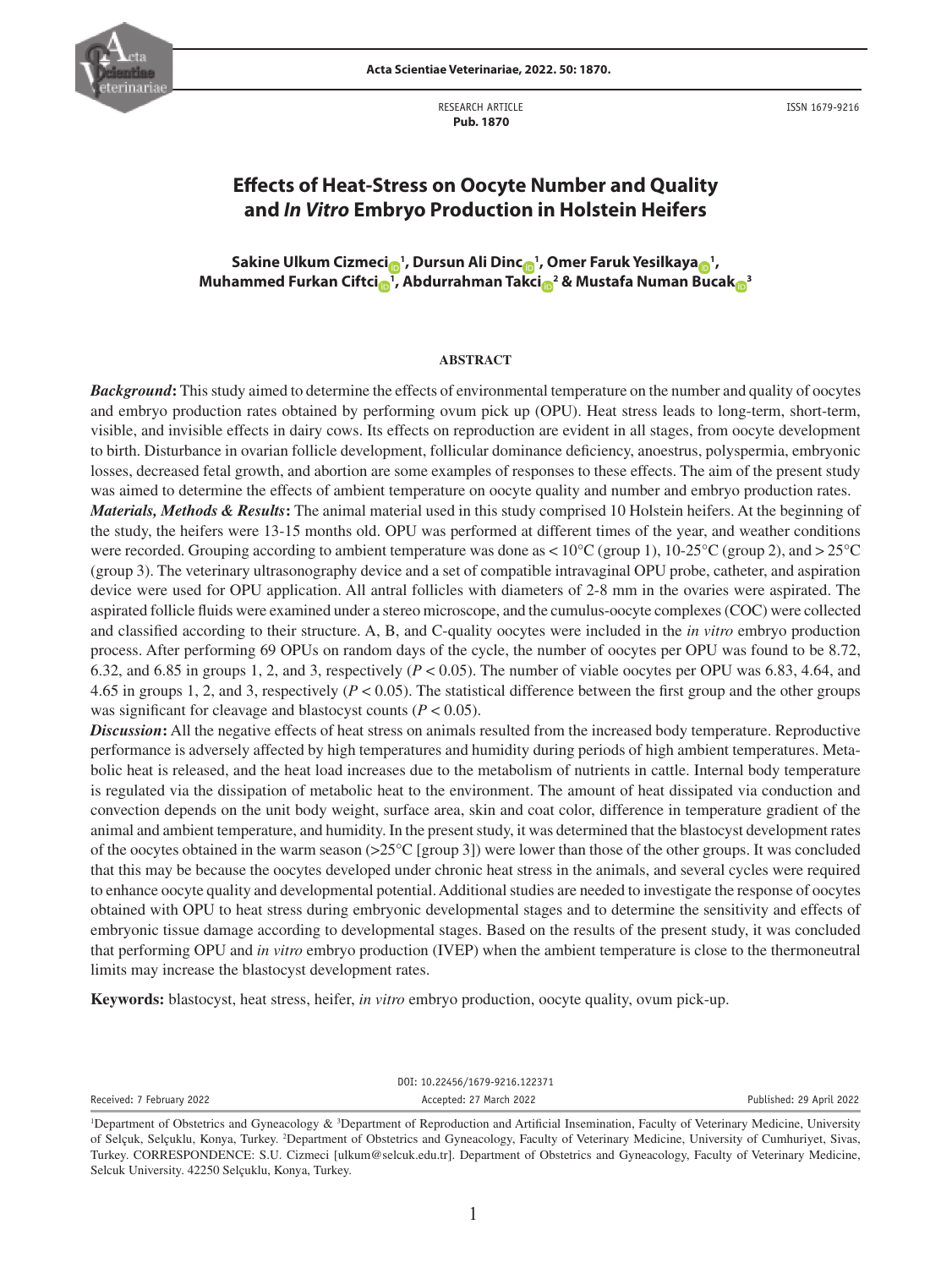

**Acta Scientiae Veterinariae, 2022. 50: 1870.**

RESEARCH ARTICLE  **Pub. 1870**

ISSN 1679-9216

# **Effects of Heat-Stress on Oocyte Number and Quality and** *In Vitro* **Embryo Production in Holstein Heifers**

**Sakine Ulkum Cizmec[i](https://orcid.org/0000-0003-2939-8019) <sup>1</sup> , Dursun Ali Din[c](https://orcid.org/0000-0002-9597-227X) <sup>1</sup> , Omer Faruk Yesilkay[a](https://orcid.org/0000-0002-7721-2576) <sup>1</sup> , Muhammed Furkan Ciftc[i](https://orcid.org/0000-0001-8333-6500) <sup>1</sup> , Abdurrahman Takc[i](https://orcid.org/0000-0002-0569-7957) <sup>2</sup> & Mustafa Numan Buca[k](https://orcid.org/0000-0002-2955-8599) <sup>3</sup>**

#### **ABSTRACT**

*Background***:** This study aimed to determine the effects of environmental temperature on the number and quality of oocytes and embryo production rates obtained by performing ovum pick up (OPU). Heat stress leads to long-term, short-term, visible, and invisible effects in dairy cows. Its effects on reproduction are evident in all stages, from oocyte development to birth. Disturbance in ovarian follicle development, follicular dominance deficiency, anoestrus, polyspermia, embryonic losses, decreased fetal growth, and abortion are some examples of responses to these effects. The aim of the present study was aimed to determine the effects of ambient temperature on oocyte quality and number and embryo production rates.

*Materials, Methods & Results***:** The animal material used in this study comprised 10 Holstein heifers. At the beginning of the study, the heifers were 13-15 months old. OPU was performed at different times of the year, and weather conditions were recorded. Grouping according to ambient temperature was done as <  $10^{\circ}$ C (group 1),  $10\text{-}25^{\circ}$ C (group 2), and >  $25^{\circ}$ C (group 3). The veterinary ultrasonography device and a set of compatible intravaginal OPU probe, catheter, and aspiration device were used for OPU application. All antral follicles with diameters of 2-8 mm in the ovaries were aspirated. The aspirated follicle fluids were examined under a stereo microscope, and the cumulus-oocyte complexes (COC) were collected and classified according to their structure. A, B, and C-quality oocytes were included in the *in vitro* embryo production process. After performing 69 OPUs on random days of the cycle, the number of oocytes per OPU was found to be 8.72, 6.32, and 6.85 in groups 1, 2, and 3, respectively (*P* < 0.05). The number of viable oocytes per OPU was 6.83, 4.64, and 4.65 in groups 1, 2, and 3, respectively  $(P < 0.05)$ . The statistical difference between the first group and the other groups was significant for cleavage and blastocyst counts  $(P < 0.05)$ .

*Discussion***:** All the negative effects of heat stress on animals resulted from the increased body temperature. Reproductive performance is adversely affected by high temperatures and humidity during periods of high ambient temperatures. Metabolic heat is released, and the heat load increases due to the metabolism of nutrients in cattle. Internal body temperature is regulated via the dissipation of metabolic heat to the environment. The amount of heat dissipated via conduction and convection depends on the unit body weight, surface area, skin and coat color, difference in temperature gradient of the animal and ambient temperature, and humidity. In the present study, it was determined that the blastocyst development rates of the oocytes obtained in the warm season (>25°C [group 3]) were lower than those of the other groups. It was concluded that this may be because the oocytes developed under chronic heat stress in the animals, and several cycles were required to enhance oocyte quality and developmental potential. Additional studies are needed to investigate the response of oocytes obtained with OPU to heat stress during embryonic developmental stages and to determine the sensitivity and effects of embryonic tissue damage according to developmental stages. Based on the results of the present study, it was concluded that performing OPU and *in vitro* embryo production (IVEP) when the ambient temperature is close to the thermoneutral limits may increase the blastocyst development rates.

**Keywords:** blastocyst, heat stress, heifer, *in vitro* embryo production, oocyte quality, ovum pick-up.

DOI: 10.22456/1679-9216.122371

Received: 7 February 2022 **Accepted: 27 March 2022** Accepted: 27 March 2022 **Published: 29 April 2022** 

<sup>&</sup>lt;sup>1</sup>Department of Obstetrics and Gyneacology & <sup>3</sup>Department of Reproduction and Artificial Insemination, Faculty of Veterinary Medicine, University of Selçuk, Selçuklu, Konya, Turkey. 2 Department of Obstetrics and Gyneacology, Faculty of Veterinary Medicine, University of Cumhuriyet, Sivas, Turkey. CORRESPONDENCE: S.U. Cizmeci [ulkum@selcuk.edu.tr]. Department of Obstetrics and Gyneacology, Faculty of Veterinary Medicine, Selcuk University. 42250 Selçuklu, Konya, Turkey.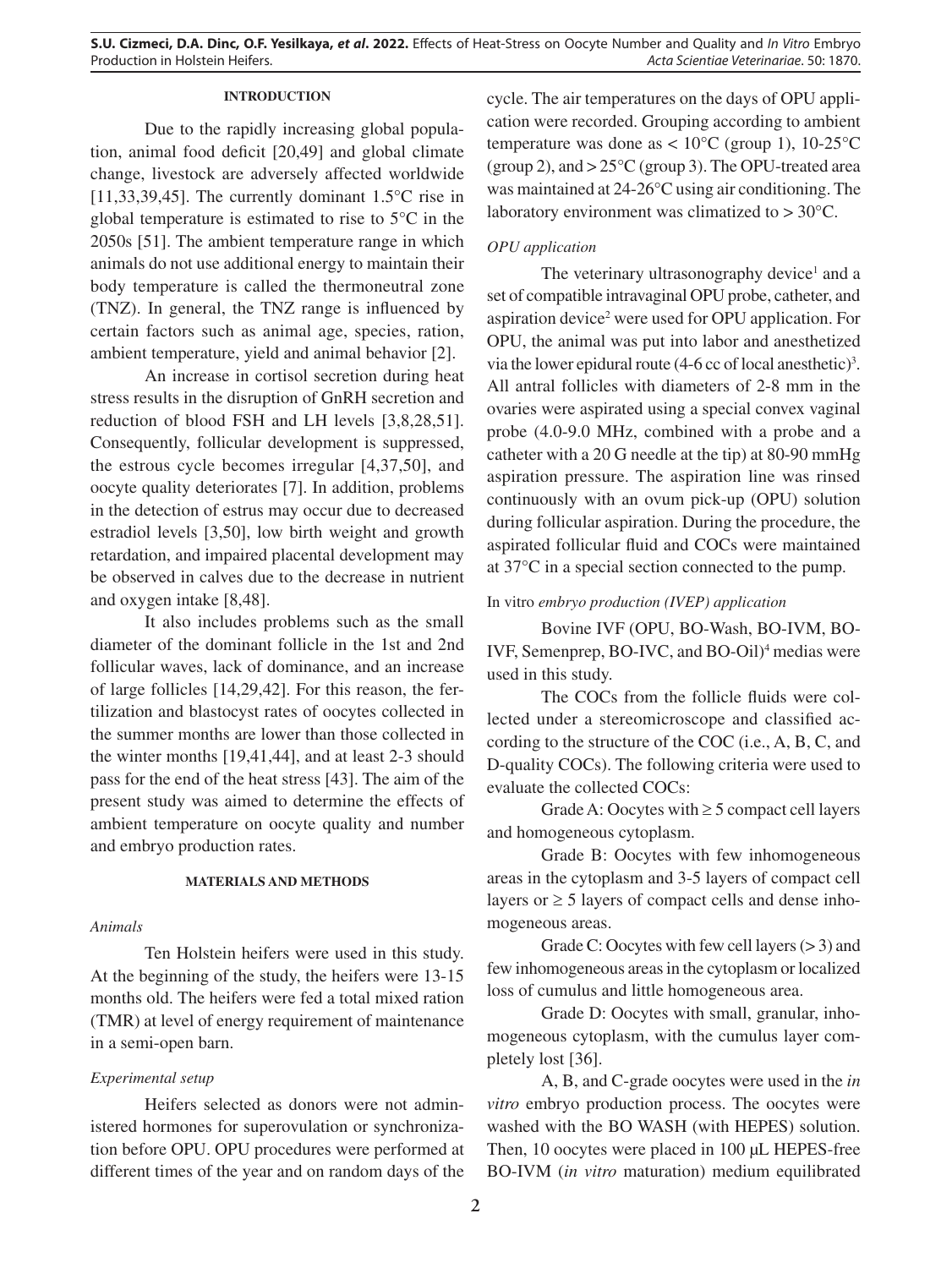# **INTRODUCTION**

Due to the rapidly increasing global population, animal food deficit [20,49] and global climate change, livestock are adversely affected worldwide [11,33,39,45]. The currently dominant 1.5°C rise in global temperature is estimated to rise to 5°C in the 2050s [51]. The ambient temperature range in which animals do not use additional energy to maintain their body temperature is called the thermoneutral zone (TNZ). In general, the TNZ range is influenced by certain factors such as animal age, species, ration, ambient temperature, yield and animal behavior [2].

An increase in cortisol secretion during heat stress results in the disruption of GnRH secretion and reduction of blood FSH and LH levels [3,8,28,51]. Consequently, follicular development is suppressed, the estrous cycle becomes irregular [4,37,50], and oocyte quality deteriorates [7]. In addition, problems in the detection of estrus may occur due to decreased estradiol levels [3,50], low birth weight and growth retardation, and impaired placental development may be observed in calves due to the decrease in nutrient and oxygen intake [8,48].

It also includes problems such as the small diameter of the dominant follicle in the 1st and 2nd follicular waves, lack of dominance, and an increase of large follicles [14,29,42]. For this reason, the fertilization and blastocyst rates of oocytes collected in the summer months are lower than those collected in the winter months [19,41,44], and at least 2-3 should pass for the end of the heat stress [43]. The aim of the present study was aimed to determine the effects of ambient temperature on oocyte quality and number and embryo production rates.

## **MATERIALS AND METHODS**

### *Animals*

Ten Holstein heifers were used in this study. At the beginning of the study, the heifers were 13-15 months old. The heifers were fed a total mixed ration (TMR) at level of energy requirement of maintenance in a semi-open barn.

# *Experimental setup*

Heifers selected as donors were not administered hormones for superovulation or synchronization before OPU. OPU procedures were performed at different times of the year and on random days of the

cycle. The air temperatures on the days of OPU application were recorded. Grouping according to ambient temperature was done as  $< 10^{\circ}$ C (group 1), 10-25<sup>°</sup>C (group 2), and  $> 25^{\circ}$ C (group 3). The OPU-treated area was maintained at 24-26°C using air conditioning. The laboratory environment was climatized to > 30°C.

# *OPU application*

The veterinary ultrasonography device<sup>1</sup> and a set of compatible intravaginal OPU probe, catheter, and aspiration device<sup>2</sup> were used for OPU application. For OPU, the animal was put into labor and anesthetized via the lower epidural route  $(4-6 \text{ cc of local anesthetic})^3$ . All antral follicles with diameters of 2-8 mm in the ovaries were aspirated using a special convex vaginal probe (4.0-9.0 MHz, combined with a probe and a catheter with a 20 G needle at the tip) at 80-90 mmHg aspiration pressure. The aspiration line was rinsed continuously with an ovum pick-up (OPU) solution during follicular aspiration. During the procedure, the aspirated follicular fluid and COCs were maintained at 37°C in a special section connected to the pump.

# In vitro *embryo production (IVEP) application*

Bovine IVF (OPU, BO-Wash, BO-IVM, BO-IVF, Semenprep, BO-IVC, and BO-Oil)<sup>4</sup> medias were used in this study.

The COCs from the follicle fluids were collected under a stereomicroscope and classified according to the structure of the COC (i.e., A, B, C, and D-quality COCs). The following criteria were used to evaluate the collected COCs:

Grade A: Oocytes with  $\geq 5$  compact cell layers and homogeneous cytoplasm.

Grade B: Oocytes with few inhomogeneous areas in the cytoplasm and 3-5 layers of compact cell layers or  $\geq$  5 layers of compact cells and dense inhomogeneous areas.

Grade C: Oocytes with few cell layers  $(> 3)$  and few inhomogeneous areas in the cytoplasm or localized loss of cumulus and little homogeneous area.

Grade D: Oocytes with small, granular, inhomogeneous cytoplasm, with the cumulus layer completely lost [36].

A, B, and C-grade oocytes were used in the *in vitro* embryo production process. The oocytes were washed with the BO WASH (with HEPES) solution. Then, 10 oocytes were placed in 100 µL HEPES-free BO-IVM (*in vitro* maturation) medium equilibrated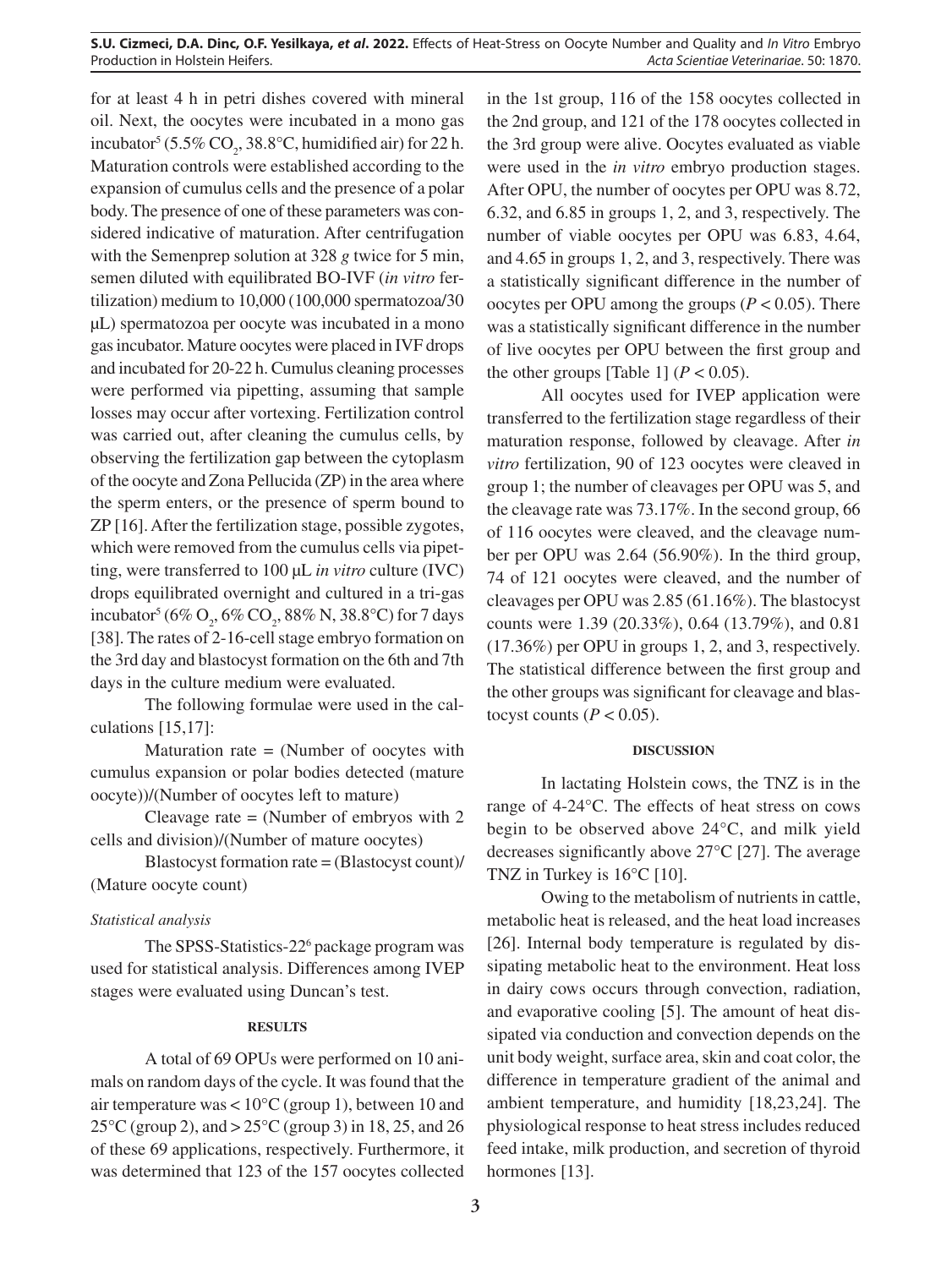for at least 4 h in petri dishes covered with mineral oil. Next, the oocytes were incubated in a mono gas incubator<sup>5</sup> (5.5% CO<sub>2</sub>, 38.8°C, humidified air) for 22 h. Maturation controls were established according to the expansion of cumulus cells and the presence of a polar body. The presence of one of these parameters was considered indicative of maturation. After centrifugation with the Semenprep solution at 328 *g* twice for 5 min, semen diluted with equilibrated BO-IVF (*in vitro* fertilization) medium to 10,000 (100,000 spermatozoa/30 µL) spermatozoa per oocyte was incubated in a mono gas incubator. Mature oocytes were placed in IVF drops and incubated for 20-22 h. Cumulus cleaning processes were performed via pipetting, assuming that sample losses may occur after vortexing. Fertilization control was carried out, after cleaning the cumulus cells, by observing the fertilization gap between the cytoplasm of the oocyte and Zona Pellucida (ZP) in the area where the sperm enters, or the presence of sperm bound to ZP [16]. After the fertilization stage, possible zygotes, which were removed from the cumulus cells via pipetting, were transferred to 100 µL *in vitro* culture (IVC) drops equilibrated overnight and cultured in a tri-gas incubator<sup>5</sup> (6% O<sub>2</sub>, 6% CO<sub>2</sub>, 88% N, 38.8°C) for 7 days [38]. The rates of 2-16-cell stage embryo formation on the 3rd day and blastocyst formation on the 6th and 7th days in the culture medium were evaluated.

The following formulae were used in the calculations [15,17]:

Maturation rate = (Number of oocytes with cumulus expansion or polar bodies detected (mature oocyte))/(Number of oocytes left to mature)

Cleavage rate = (Number of embryos with 2 cells and division)/(Number of mature oocytes)

Blastocyst formation rate = (Blastocyst count)/ (Mature oocyte count)

## *Statistical analysis*

The SPSS-Statistics-22<sup>6</sup> package program was used for statistical analysis. Differences among IVEP stages were evaluated using Duncan's test.

## **RESULTS**

A total of 69 OPUs were performed on 10 animals on random days of the cycle. It was found that the air temperature was < 10°C (group 1), between 10 and 25°C (group 2), and > 25°C (group 3) in 18, 25, and 26 of these 69 applications, respectively. Furthermore, it was determined that 123 of the 157 oocytes collected in the 1st group, 116 of the 158 oocytes collected in the 2nd group, and 121 of the 178 oocytes collected in the 3rd group were alive. Oocytes evaluated as viable were used in the *in vitro* embryo production stages. After OPU, the number of oocytes per OPU was 8.72, 6.32, and 6.85 in groups 1, 2, and 3, respectively. The number of viable oocytes per OPU was 6.83, 4.64, and 4.65 in groups 1, 2, and 3, respectively. There was a statistically significant difference in the number of oocytes per OPU among the groups  $(P < 0.05)$ . There was a statistically significant difference in the number of live oocytes per OPU between the first group and the other groups [Table 1]  $(P < 0.05)$ .

All oocytes used for IVEP application were transferred to the fertilization stage regardless of their maturation response, followed by cleavage. After *in vitro* fertilization, 90 of 123 oocytes were cleaved in group 1; the number of cleavages per OPU was 5, and the cleavage rate was 73.17%. In the second group, 66 of 116 oocytes were cleaved, and the cleavage number per OPU was 2.64 (56.90%). In the third group, 74 of 121 oocytes were cleaved, and the number of cleavages per OPU was 2.85 (61.16%). The blastocyst counts were 1.39 (20.33%), 0.64 (13.79%), and 0.81 (17.36%) per OPU in groups 1, 2, and 3, respectively. The statistical difference between the first group and the other groups was significant for cleavage and blastocyst counts  $(P < 0.05)$ .

#### **DISCUSSION**

In lactating Holstein cows, the TNZ is in the range of 4-24°C. The effects of heat stress on cows begin to be observed above 24°C, and milk yield decreases significantly above 27°C [27]. The average TNZ in Turkey is 16°C [10].

Owing to the metabolism of nutrients in cattle, metabolic heat is released, and the heat load increases [26]. Internal body temperature is regulated by dissipating metabolic heat to the environment. Heat loss in dairy cows occurs through convection, radiation, and evaporative cooling [5]. The amount of heat dissipated via conduction and convection depends on the unit body weight, surface area, skin and coat color, the difference in temperature gradient of the animal and ambient temperature, and humidity [18,23,24]. The physiological response to heat stress includes reduced feed intake, milk production, and secretion of thyroid hormones [13].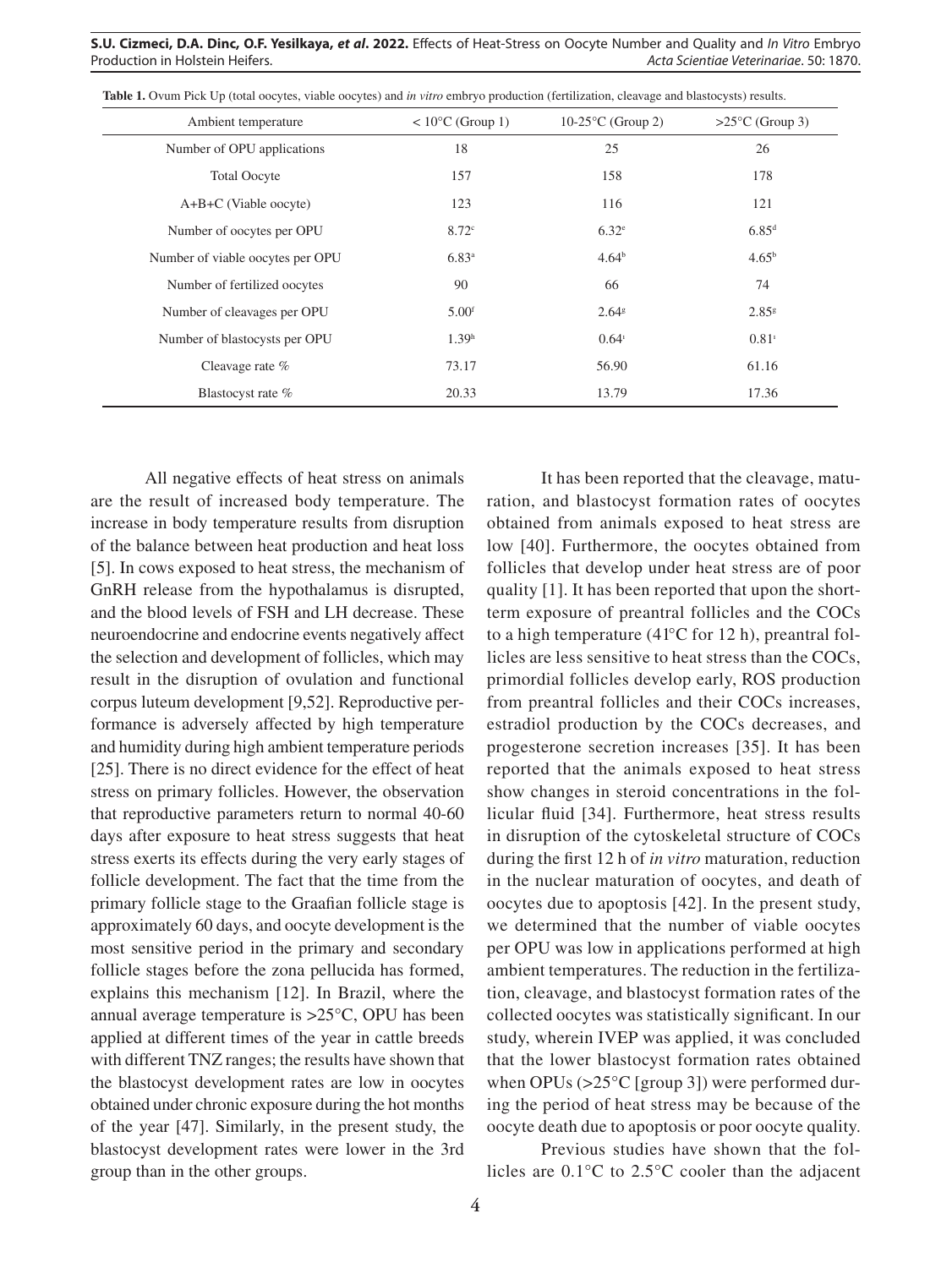| Ambient temperature              | $< 10^{\circ}$ C (Group 1) | $10-25$ °C (Group 2) | $>25^{\circ}$ C (Group 3) |
|----------------------------------|----------------------------|----------------------|---------------------------|
| Number of OPU applications       | 18                         | 25                   | 26                        |
| <b>Total Oocyte</b>              | 157                        | 158                  | 178                       |
| $A+B+C$ (Viable oocyte)          | 123                        | 116                  | 121                       |
| Number of oocytes per OPU        | 8.72 <sup>c</sup>          | 6.32 <sup>e</sup>    | $6.85^{d}$                |
| Number of viable oocytes per OPU | $6.83^{a}$                 | 4.64 <sup>b</sup>    | $4.65^{\rm b}$            |
| Number of fertilized oocytes     | 90                         | 66                   | 74                        |
| Number of cleavages per OPU      | 5.00 <sup>f</sup>          | 2.64 <sup>g</sup>    | $2.85$ <sup>g</sup>       |
| Number of blastocysts per OPU    | 1.39 <sup>h</sup>          | $0.64^{\mathrm{i}}$  | $0.81^{\circ}$            |
| Cleavage rate $\%$               | 73.17                      | 56.90                | 61.16                     |
| Blastocyst rate %                | 20.33                      | 13.79                | 17.36                     |

**Table 1.** Ovum Pick Up (total oocytes, viable oocytes) and *in vitro* embryo production (fertilization, cleavage and blastocysts) results.

All negative effects of heat stress on animals are the result of increased body temperature. The increase in body temperature results from disruption of the balance between heat production and heat loss [5]. In cows exposed to heat stress, the mechanism of GnRH release from the hypothalamus is disrupted, and the blood levels of FSH and LH decrease. These neuroendocrine and endocrine events negatively affect the selection and development of follicles, which may result in the disruption of ovulation and functional corpus luteum development [9,52]. Reproductive performance is adversely affected by high temperature and humidity during high ambient temperature periods [25]. There is no direct evidence for the effect of heat stress on primary follicles. However, the observation that reproductive parameters return to normal 40-60 days after exposure to heat stress suggests that heat stress exerts its effects during the very early stages of follicle development. The fact that the time from the primary follicle stage to the Graafian follicle stage is approximately 60 days, and oocyte development is the most sensitive period in the primary and secondary follicle stages before the zona pellucida has formed, explains this mechanism [12]. In Brazil, where the annual average temperature is >25°C, OPU has been applied at different times of the year in cattle breeds with different TNZ ranges; the results have shown that the blastocyst development rates are low in oocytes obtained under chronic exposure during the hot months of the year [47]. Similarly, in the present study, the blastocyst development rates were lower in the 3rd group than in the other groups.

It has been reported that the cleavage, maturation, and blastocyst formation rates of oocytes obtained from animals exposed to heat stress are low [40]. Furthermore, the oocytes obtained from follicles that develop under heat stress are of poor quality [1]. It has been reported that upon the shortterm exposure of preantral follicles and the COCs to a high temperature (41°C for 12 h), preantral follicles are less sensitive to heat stress than the COCs, primordial follicles develop early, ROS production from preantral follicles and their COCs increases, estradiol production by the COCs decreases, and progesterone secretion increases [35]. It has been reported that the animals exposed to heat stress show changes in steroid concentrations in the follicular fluid [34]. Furthermore, heat stress results in disruption of the cytoskeletal structure of COCs during the first 12 h of *in vitro* maturation, reduction in the nuclear maturation of oocytes, and death of oocytes due to apoptosis [42]. In the present study, we determined that the number of viable oocytes per OPU was low in applications performed at high ambient temperatures. The reduction in the fertilization, cleavage, and blastocyst formation rates of the collected oocytes was statistically significant. In our study, wherein IVEP was applied, it was concluded that the lower blastocyst formation rates obtained when OPUs (>25<sup>o</sup>C [group 3]) were performed during the period of heat stress may be because of the oocyte death due to apoptosis or poor oocyte quality.

Previous studies have shown that the follicles are 0.1°C to 2.5°C cooler than the adjacent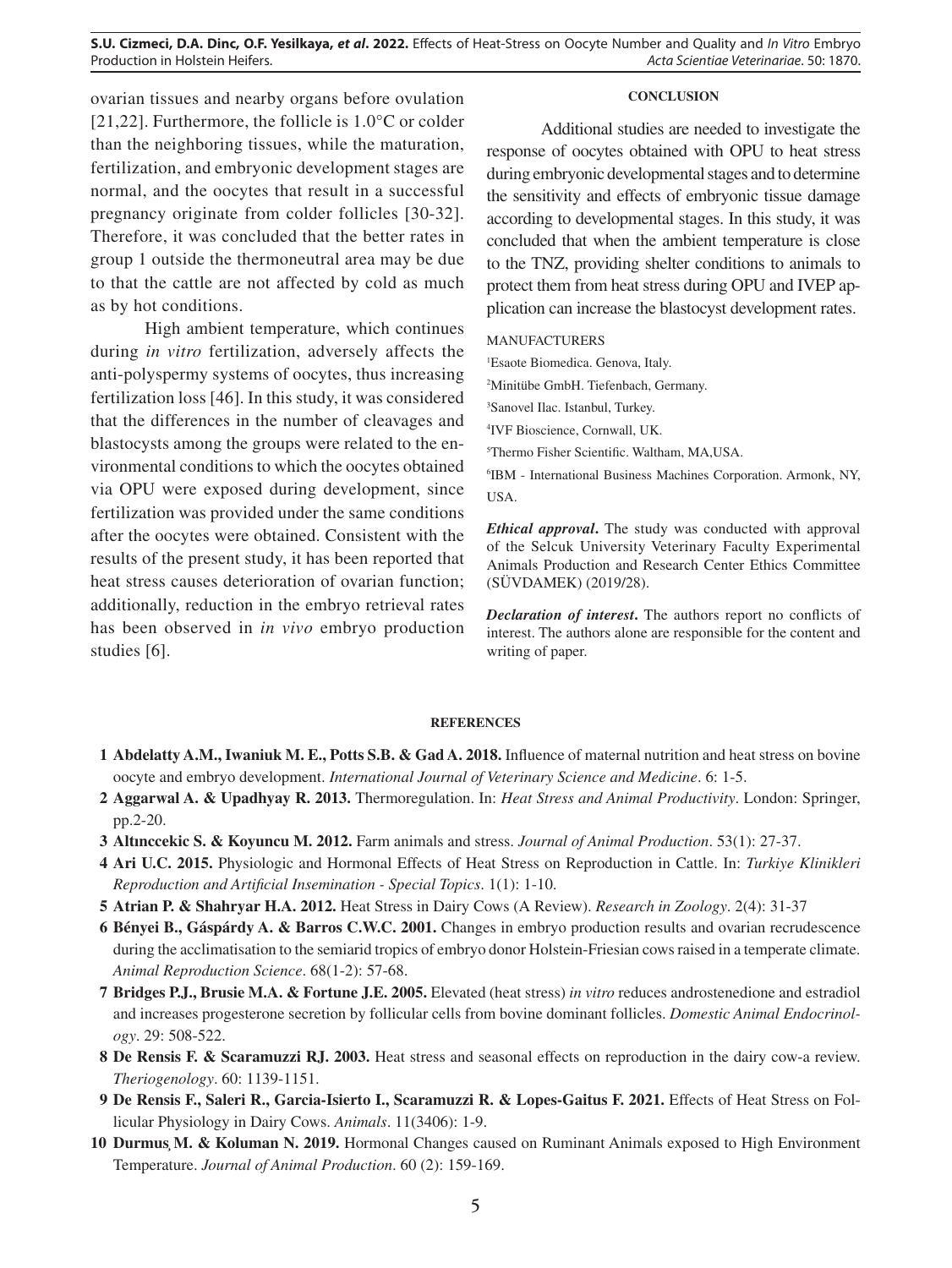ovarian tissues and nearby organs before ovulation [21,22]. Furthermore, the follicle is  $1.0\degree$ C or colder than the neighboring tissues, while the maturation, fertilization, and embryonic development stages are normal, and the oocytes that result in a successful pregnancy originate from colder follicles [30-32]. Therefore, it was concluded that the better rates in group 1 outside the thermoneutral area may be due to that the cattle are not affected by cold as much as by hot conditions.

High ambient temperature, which continues during *in vitro* fertilization, adversely affects the anti-polyspermy systems of oocytes, thus increasing fertilization loss [46]. In this study, it was considered that the differences in the number of cleavages and blastocysts among the groups were related to the environmental conditions to which the oocytes obtained via OPU were exposed during development, since fertilization was provided under the same conditions after the oocytes were obtained. Consistent with the results of the present study, it has been reported that heat stress causes deterioration of ovarian function; additionally, reduction in the embryo retrieval rates has been observed in *in vivo* embryo production studies [6].

#### **CONCLUSION**

Additional studies are needed to investigate the response of oocytes obtained with OPU to heat stress during embryonic developmental stages and to determine the sensitivity and effects of embryonic tissue damage according to developmental stages. In this study, it was concluded that when the ambient temperature is close to the TNZ, providing shelter conditions to animals to protect them from heat stress during OPU and IVEP application can increase the blastocyst development rates.

### MANUFACTURERS

1 Esaote Biomedica. Genova, Italy.

2 Minitübe GmbH. Tiefenbach, Germany.

3 Sanovel Ilac. Istanbul, Turkey.

4 IVF Bioscience, Cornwall, UK.

5 Thermo Fisher Scientific. Waltham, MA,USA.

6 IBM - International Business Machines Corporation. Armonk, NY, USA.

*Ethical approval***.** The study was conducted with approval of the Selcuk University Veterinary Faculty Experimental Animals Production and Research Center Ethics Committee (SÜVDAMEK) (2019/28).

*Declaration of interest***.** The authors report no conflicts of interest. The authors alone are responsible for the content and writing of paper.

#### **REFERENCES**

- **1 Abdelatty A.M., Iwaniuk M. E., Potts S.B. & Gad A. 2018.** Influence of maternal nutrition and heat stress on bovine oocyte and embryo development. *International Journal of Veterinary Science and Medicine*. 6: 1-5.
- **2 Aggarwal A. & Upadhyay R. 2013.** Thermoregulation. In: *Heat Stress and Animal Productivity*. London: Springer, pp.2-20.
- **3 Altınccekic S. & Koyuncu M. 2012.** Farm animals and stress. *Journal of Animal Production*. 53(1): 27-37.
- **4 Ari U.C. 2015.** Physiologic and Hormonal Effects of Heat Stress on Reproduction in Cattle. In: *Turkiye Klinikleri Reproduction and Artificial Insemination - Special Topics*. 1(1): 1-10.
- **5 Atrian P. & Shahryar H.A. 2012.** Heat Stress in Dairy Cows (A Review). *Research in Zoology*. 2(4): 31-37
- **6 Bényei B., Gáspárdy A. & Barros C.W.C. 2001.** Changes in embryo production results and ovarian recrudescence during the acclimatisation to the semiarid tropics of embryo donor Holstein-Friesian cows raised in a temperate climate. *Animal Reproduction Science*. 68(1-2): 57-68.
- **7 Bridges P.J., Brusie M.A. & Fortune J.E. 2005.** Elevated (heat stress) *in vitro* reduces androstenedione and estradiol and increases progesterone secretion by follicular cells from bovine dominant follicles. *Domestic Animal Endocrinology*. 29: 508-522.
- **8 De Rensis F. & Scaramuzzi RJ. 2003.** Heat stress and seasonal effects on reproduction in the dairy cow-a review. *Theriogenology*. 60: 1139-1151.
- **9 De Rensis F., Saleri R., Garcia-Isierto I., Scaramuzzi R. & Lopes-Gaitus F. 2021.** Effects of Heat Stress on Follicular Physiology in Dairy Cows. *Animals*. 11(3406): 1-9.
- **10 Durmuş M. & Koluman N. 2019.** Hormonal Changes caused on Ruminant Animals exposed to High Environment Temperature. *Journal of Animal Production*. 60 (2): 159-169.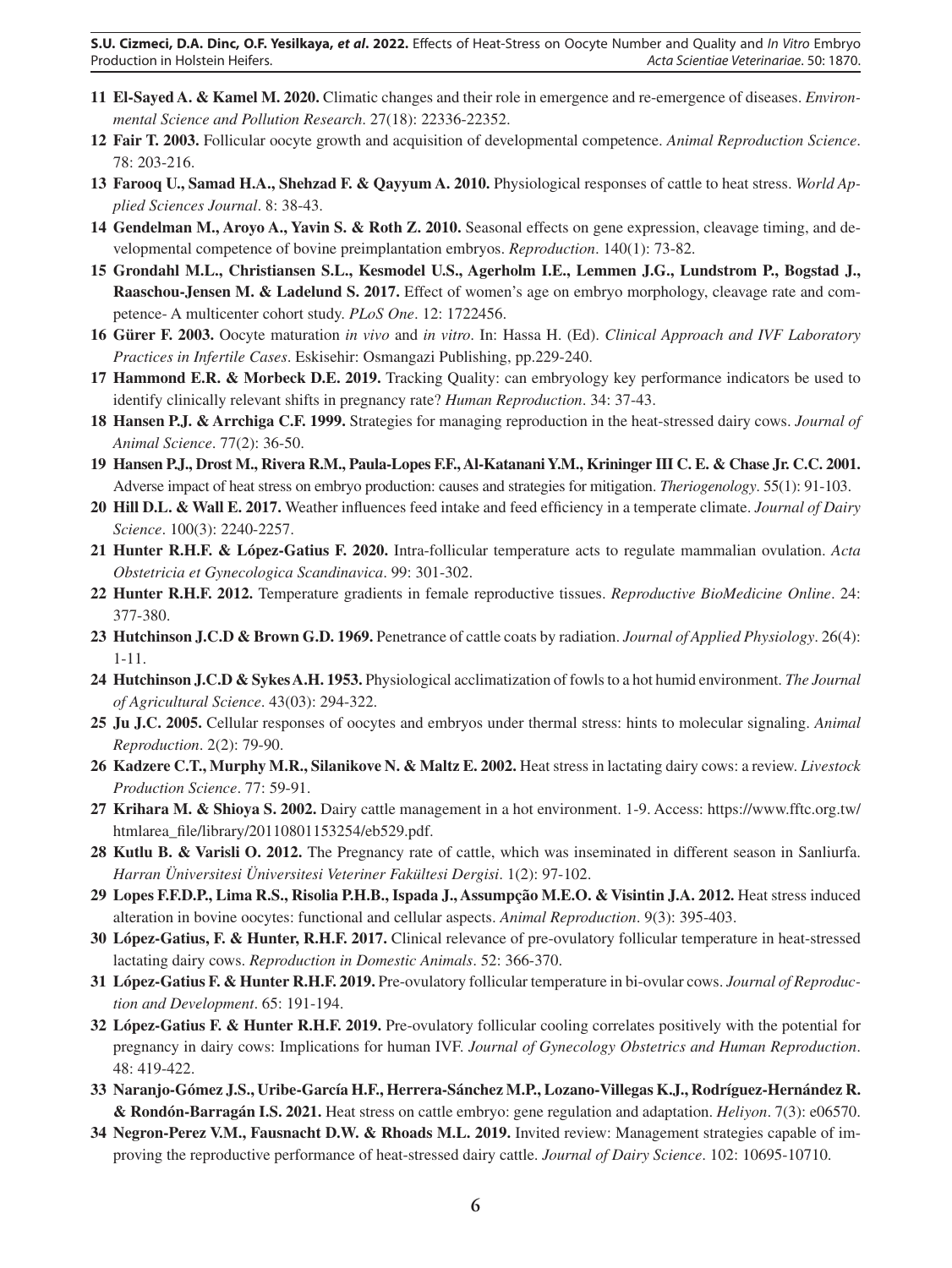- **11 El-Sayed A. & Kamel M. 2020.** Climatic changes and their role in emergence and re-emergence of diseases. *Environmental Science and Pollution Research*. 27(18): 22336-22352.
- **12 Fair T. 2003.** Follicular oocyte growth and acquisition of developmental competence. *Animal Reproduction Science*. 78: 203-216.
- **13 Farooq U., Samad H.A., Shehzad F. & Qayyum A. 2010.** Physiological responses of cattle to heat stress. *World Applied Sciences Journal*. 8: 38-43.
- **14 Gendelman M., Aroyo A., Yavin S. & Roth Z. 2010.** Seasonal effects on gene expression, cleavage timing, and developmental competence of bovine preimplantation embryos. *Reproduction*. 140(1): 73-82.
- **15 Grondahl M.L., Christiansen S.L., Kesmodel U.S., Agerholm I.E., Lemmen J.G., Lundstrom P., Bogstad J., Raaschou-Jensen M. & Ladelund S. 2017.** Effect of women's age on embryo morphology, cleavage rate and competence- A multicenter cohort study. *PLoS One*. 12: 1722456.
- **16 Gürer F. 2003.** Oocyte maturation *in vivo* and *in vitro*. In: Hassa H. (Ed). *Clinical Approach and IVF Laboratory Practices in Infertile Cases*. Eskisehir: Osmangazi Publishing, pp.229-240.
- **17 Hammond E.R. & Morbeck D.E. 2019.** Tracking Quality: can embryology key performance indicators be used to identify clinically relevant shifts in pregnancy rate? *Human Reproduction*. 34: 37-43.
- **18 Hansen P.J. & Arrchiga C.F. 1999.** Strategies for managing reproduction in the heat-stressed dairy cows. *Journal of Animal Science*. 77(2): 36-50.
- **19 Hansen P.J., Drost M., Rivera R.M., Paula-Lopes F.F., Al-Katanani Y.M., Krininger III C. E. & Chase Jr. C.C. 2001.**  Adverse impact of heat stress on embryo production: causes and strategies for mitigation. *Theriogenology*. 55(1): 91-103.
- **20 Hill D.L. & Wall E. 2017.** Weather influences feed intake and feed efficiency in a temperate climate. *Journal of Dairy Science*. 100(3): 2240-2257.
- **21 Hunter R.H.F. & López-Gatius F. 2020.** Intra-follicular temperature acts to regulate mammalian ovulation. *Acta Obstetricia et Gynecologica Scandinavica*. 99: 301-302.
- **22 Hunter R.H.F. 2012.** Temperature gradients in female reproductive tissues. *Reproductive BioMedicine Online*. 24: 377-380.
- **23 Hutchinson J.C.D & Brown G.D. 1969.** Penetrance of cattle coats by radiation. *Journal of Applied Physiology*. 26(4): 1-11.
- **24 Hutchinson J.C.D & Sykes A.H. 1953.** Physiological acclimatization of fowls to a hot humid environment. *The Journal of Agricultural Science*. 43(03): 294-322.
- **25 Ju J.C. 2005.** Cellular responses of oocytes and embryos under thermal stress: hints to molecular signaling. *Animal Reproduction*. 2(2): 79-90.
- **26 Kadzere C.T., Murphy M.R., Silanikove N. & Maltz E. 2002.** Heat stress in lactating dairy cows: a review. *Livestock Production Science*. 77: 59-91.
- **27 Krihara M. & Shioya S. 2002.** Dairy cattle management in a hot environment. 1-9. Access: https://www.fftc.org.tw/ htmlarea\_file/library/20110801153254/eb529.pdf.
- **28 Kutlu B. & Varisli O. 2012.** The Pregnancy rate of cattle, which was inseminated in different season in Sanliurfa. *Harran Üniversitesi Üniversitesi Veteriner Fakültesi Dergisi*. 1(2): 97-102.
- **29 Lopes F.F.D.P., Lima R.S., Risolia P.H.B., Ispada J., Assumpção M.E.O. & Visintin J.A. 2012.** Heat stress induced alteration in bovine oocytes: functional and cellular aspects. *Animal Reproduction*. 9(3): 395-403.
- **30 López-Gatius, F. & Hunter, R.H.F. 2017.** Clinical relevance of pre-ovulatory follicular temperature in heat-stressed lactating dairy cows. *Reproduction in Domestic Animals*. 52: 366-370.
- **31 López-Gatius F. & Hunter R.H.F. 2019.** Pre-ovulatory follicular temperature in bi-ovular cows. *Journal of Reproduction and Development*. 65: 191-194.
- **32 López-Gatius F. & Hunter R.H.F. 2019.** Pre-ovulatory follicular cooling correlates positively with the potential for pregnancy in dairy cows: Implications for human IVF. *Journal of Gynecology Obstetrics and Human Reproduction*. 48: 419-422.
- **33 Naranjo-Gómez J.S., Uribe-García H.F., Herrera-Sánchez M.P., Lozano-Villegas K.J., Rodríguez-Hernández R. & Rondón-Barragán I.S. 2021.** Heat stress on cattle embryo: gene regulation and adaptation. *Heliyon*. 7(3): e06570.
- **34 Negron-Perez V.M., Fausnacht D.W. & Rhoads M.L. 2019.** Invited review: Management strategies capable of improving the reproductive performance of heat-stressed dairy cattle. *Journal of Dairy Science*. 102: 10695-10710.